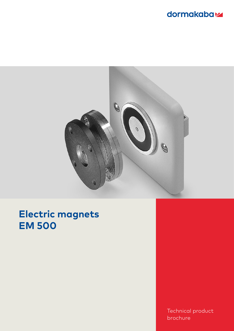## dormakabaz



# **Electric magnets EM 500**

Technical product brochure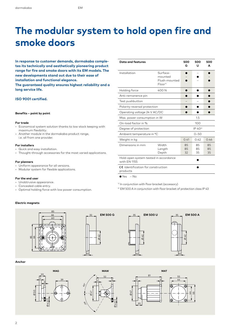# **The modular system to hold open fire and smoke doors**

**In response to customer demands, dormakaba completes its technically and aesthetically pioneering product range for fire and smoke doors with its EM models. The new developments stand out due to their ease of installation and functional elegance.**

**The guaranteed quality ensures highest reliability and a long service life.**

#### **ISO 9001 certified.**

#### **Benefits – point by point**

#### **For trade**

- Economical system solution thanks to low stock keeping with maximum flexibility.
- Another module in the dormakaba product range, i.e. all from one provider.

#### **For installers**

- Quick and easy installation.
- Thought-through accessories for the most varied applications.

#### **For planners**

- Uniform appearance for all versions.
- Modular system for flexible applications.

#### **For the end user**

- Unobtrusive appearance.
- Concealed cable entry.
- Optimal holding force with low power consumption.

| <b>Data and features</b>                                                              |                                                             | 500<br>G            | 500<br>U       | 500<br>А       |
|---------------------------------------------------------------------------------------|-------------------------------------------------------------|---------------------|----------------|----------------|
| Installation                                                                          | Surface-<br>mounted<br>Flush-mounted<br>Floor <sup>1)</sup> |                     |                |                |
| Holding force                                                                         | 400N                                                        |                     |                |                |
| Anti-remanence pin                                                                    |                                                             |                     |                |                |
| Test pushbutton                                                                       |                                                             |                     |                |                |
| Polarity reversal protection                                                          |                                                             |                     |                |                |
| Operating voltage 24 V AC/DC                                                          |                                                             |                     |                |                |
| Max. power consumption in W                                                           |                                                             |                     | 1.5            |                |
| On-load factor in %                                                                   |                                                             | 100                 |                |                |
| Degree of protection                                                                  |                                                             | IP 40 <sup>2)</sup> |                |                |
| Ambient temperature in °C                                                             |                                                             | $0 - 50$            |                |                |
| Weight in kg                                                                          |                                                             | 0.41                | 0.42           | 0.46           |
| Dimensions in mm                                                                      | Width<br>Length<br>Depth                                    | 85<br>85<br>32      | 85<br>85<br>35 | 85<br>85<br>35 |
| Hold-open system tested in accordance<br>with EN 1155                                 |                                                             |                     |                |                |
| $\mathsf{\mathsf{C}}\mathsf{\mathsf{E}}$ -Identification for construction<br>products |                                                             |                     |                |                |
| $\bullet$ Yes<br>$-$ No                                                               |                                                             |                     |                |                |

<sup>1)</sup> In conjunction with floor bracket (accessory)

<sup>2)</sup> EM 500 A in conjunction with floor bracket of protection class IP 43

#### **Electric magnets**



**Anchor**





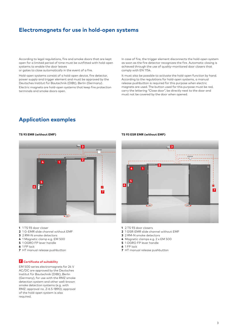### **Electromagnets for use in hold-open systems**

According to legal regulations, fire and smoke doors that are kept open for a limited period of time must be outfitted with hold-open systems to enable the door leaves

or gates to close automatically in the event of a fire.

Hold-open systems consist of a hold-open device, fire detector, power supply and trigger element and must be approved by the Deutsches Institut für Bautechnik (DIBt), Berlin (Germany). Electric magnets are hold-open systems that keep fire protection terminals and smoke doors open.

In case of fire, the trigger element disconnects the hold-open system as soon as the fire detector recognizes the fire. Automatic closing is achieved through the use of quality-monitored door closers that comply with EN 1154.

It must also be possible to activate the hold-open function by hand. According to the regulations for hold-open systems, a manual release pushbutton is required for this purpose when electric magnets are used. The button used for this purpose must be red, carry the lettering "Close door", be directly next to the door and must not be covered by the door when opened.

### **Application examples**



- **1** 1 TS 93 door closer
- **2** 1 G-EMR slide channel without EMF
- **3** 2 RM-N smoke detectors
- **4** 1 Magnetic clamp e.g. EM 500
- **5** 1 OGRO FP lever handle
- **6** 1 FP lock
- **7** HT manual release pushbutton

### **Certificate of suitability**

EM 500 series electromagnets for 24 V AC/DC are approved by the Deutsches Institut für Bautechnik (DIBt), Berlin (Germany), for use with the RMZ smoke detection system and other well-known smoke detection systems (e.g. with RMZ: approval no. Z-6.5-1890); approval of the hold-open system is also required.

#### **TS 93 EMR (without EMF) TS 93 ESR EMR (without EMF)**



- **1** 2 TS 93 door closers
- **2** 1 GSR-EMR slide channel without EMF
- **3** 2 RM-N smoke detectors
- **4** Magnetic clamps e.g. 2 x EM 500
- **5** 1 OGRO FP lever handle
- **6** 1 FP lock
- **7** HT manual release pushbutton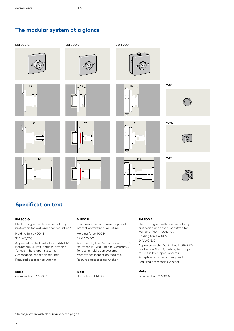### **The modular system at a glance**



## **Specification text**

#### **EM 500 G**

Electromagnet with reverse polarity protection for wall and floor mounting\*.

Holding force 400 N 24 V AC/DC

Approved by the Deutsches Institut für Bautechnik (DIBt), Berlin (Germany), for use in hold-open systems. Acceptance inspection required. Required accessories: Anchor

#### **Make**

dormakaba EM 500 G

#### **M 500 U**

Electromagnet with reverse polarity protection for flush mounting.

Holding force 400 N 24 V AC/DC

Approved by the Deutsches Institut für Bautechnik (DIBt), Berlin (Germany), for use in hold-open systems. Acceptance inspection required. Required accessories: Anchor

#### **Make**

dormakaba EM 500 U

#### **EM 500 A**

Electromagnet with reverse polarity protection and test pushbutton for wall and floor mounting\*. Holding force 400 N

### 24 V AC/DC

Approved by the Deutsches Institut für Bautechnik (DIBt), Berlin (Germany), for use in hold-open systems. Acceptance inspection required. Required accessories: Anchor

#### **Make**

dormakaba EM 500 A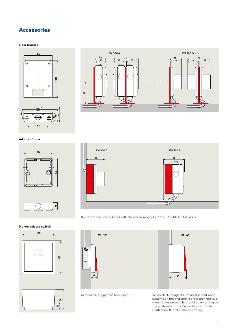## **Accessories**

#### **Floor bracket**







**Adapter frame**





The frame can be combined with the electromagnets of the EM 500 G/U/A series.

### **Manual release switch**





**18 51**



To manually trigger the hold-open. When electromagnets are used in hold-open systems on fire and smoke protection doors, a manual release switch is required according to the guidelines of the Deutsches Institut für Bautechnik (DIBt), Berlin (Germany).

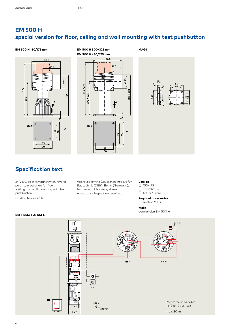### **EM 500 H special version for floor, ceiling and wall mounting with test pushbutton**







### **Specification text**

24 V DC electromagnet with reverse polarity protection for floor, ceiling and wall mounting with test pushbutton.

Holding force 490 N.

Approved by the Deutsches Institut für Bautechnik (DIBt), Berlin (Germany), for use in hold-open systems. Acceptance inspection required.

#### **Version**

**MAG1**

☐ 150/175 mm  $\overline{\square}$  300/325 mm

 $\Box$  450/475 mm

**Required accessories** ☐ Anchor MAG

**Make**

dormakaba EM 500 H



#### 6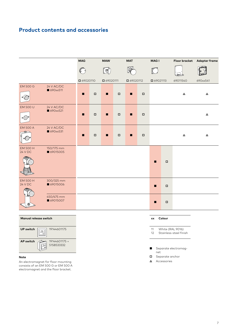### **Product contents and accessories**



#### **Note**

An electromagnet for floor mounting consists of an EM 500 G or EM 500 A electromagnet and the floor bracket.

- 
- **△** Accessories